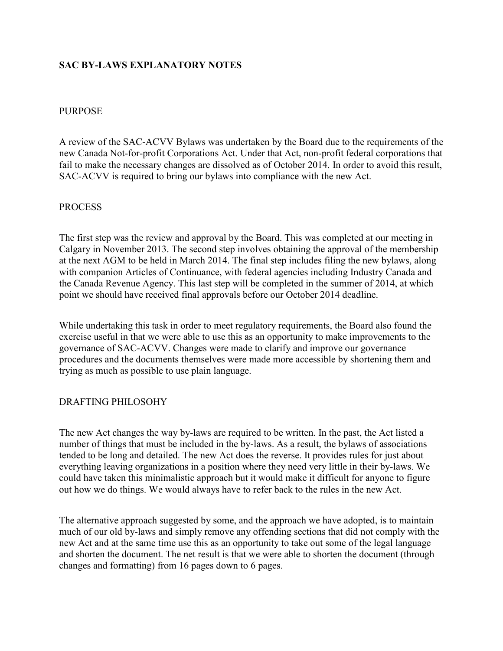# **SAC BY-LAWS EXPLANATORY NOTES**

### PURPOSE

A review of the SAC-ACVV Bylaws was undertaken by the Board due to the requirements of the new Canada Not-for-profit Corporations Act. Under that Act, non-profit federal corporations that fail to make the necessary changes are dissolved as of October 2014. In order to avoid this result, SAC-ACVV is required to bring our bylaws into compliance with the new Act.

## PROCESS

The first step was the review and approval by the Board. This was completed at our meeting in Calgary in November 2013. The second step involves obtaining the approval of the membership at the next AGM to be held in March 2014. The final step includes filing the new bylaws, along with companion Articles of Continuance, with federal agencies including Industry Canada and the Canada Revenue Agency. This last step will be completed in the summer of 2014, at which point we should have received final approvals before our October 2014 deadline.

While undertaking this task in order to meet regulatory requirements, the Board also found the exercise useful in that we were able to use this as an opportunity to make improvements to the governance of SAC-ACVV. Changes were made to clarify and improve our governance procedures and the documents themselves were made more accessible by shortening them and trying as much as possible to use plain language.

### DRAFTING PHILOSOHY

The new Act changes the way by-laws are required to be written. In the past, the Act listed a number of things that must be included in the by-laws. As a result, the bylaws of associations tended to be long and detailed. The new Act does the reverse. It provides rules for just about everything leaving organizations in a position where they need very little in their by-laws. We could have taken this minimalistic approach but it would make it difficult for anyone to figure out how we do things. We would always have to refer back to the rules in the new Act.

The alternative approach suggested by some, and the approach we have adopted, is to maintain much of our old by-laws and simply remove any offending sections that did not comply with the new Act and at the same time use this as an opportunity to take out some of the legal language and shorten the document. The net result is that we were able to shorten the document (through changes and formatting) from 16 pages down to 6 pages.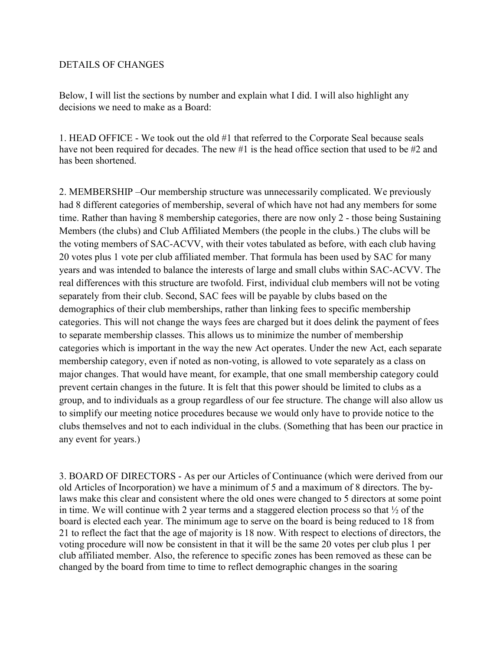### DETAILS OF CHANGES

Below, I will list the sections by number and explain what I did. I will also highlight any decisions we need to make as a Board:

1. HEAD OFFICE - We took out the old #1 that referred to the Corporate Seal because seals have not been required for decades. The new #1 is the head office section that used to be #2 and has been shortened.

2. MEMBERSHIP –Our membership structure was unnecessarily complicated. We previously had 8 different categories of membership, several of which have not had any members for some time. Rather than having 8 membership categories, there are now only 2 - those being Sustaining Members (the clubs) and Club Affiliated Members (the people in the clubs.) The clubs will be the voting members of SAC-ACVV, with their votes tabulated as before, with each club having 20 votes plus 1 vote per club affiliated member. That formula has been used by SAC for many years and was intended to balance the interests of large and small clubs within SAC-ACVV. The real differences with this structure are twofold. First, individual club members will not be voting separately from their club. Second, SAC fees will be payable by clubs based on the demographics of their club memberships, rather than linking fees to specific membership categories. This will not change the ways fees are charged but it does delink the payment of fees to separate membership classes. This allows us to minimize the number of membership categories which is important in the way the new Act operates. Under the new Act, each separate membership category, even if noted as non-voting, is allowed to vote separately as a class on major changes. That would have meant, for example, that one small membership category could prevent certain changes in the future. It is felt that this power should be limited to clubs as a group, and to individuals as a group regardless of our fee structure. The change will also allow us to simplify our meeting notice procedures because we would only have to provide notice to the clubs themselves and not to each individual in the clubs. (Something that has been our practice in any event for years.)

3. BOARD OF DIRECTORS - As per our Articles of Continuance (which were derived from our old Articles of Incorporation) we have a minimum of 5 and a maximum of 8 directors. The bylaws make this clear and consistent where the old ones were changed to 5 directors at some point in time. We will continue with 2 year terms and a staggered election process so that ½ of the board is elected each year. The minimum age to serve on the board is being reduced to 18 from 21 to reflect the fact that the age of majority is 18 now. With respect to elections of directors, the voting procedure will now be consistent in that it will be the same 20 votes per club plus 1 per club affiliated member. Also, the reference to specific zones has been removed as these can be changed by the board from time to time to reflect demographic changes in the soaring